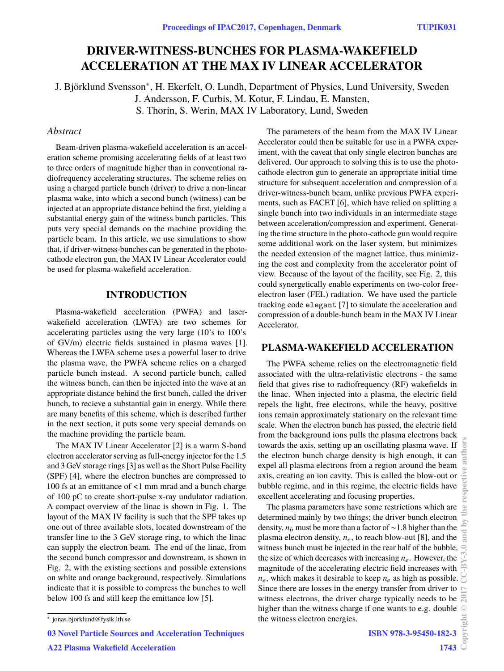# **DRIVER-WITNESS-BUNCHES FOR PLASMA-WAKEFIELD ACCELERATION AT THE MAX IV LINEAR ACCELERATOR**

J. Björklund Svensson<sup>∗</sup> , H. Ekerfelt, O. Lundh, Department of Physics, Lund University, Sweden J. Andersson, F. Curbis, M. Kotur, F. Lindau, E. Mansten, S. Thorin, S. Werin, MAX IV Laboratory, Lund, Sweden

## *Abstract*

Beam-driven plasma-wakefield acceleration is an acceleration scheme promising accelerating fields of at least two to three orders of magnitude higher than in conventional radiofrequency accelerating structures. The scheme relies on using a charged particle bunch (driver) to drive a non-linear plasma wake, into which a second bunch (witness) can be injected at an appropriate distance behind the first, yielding a substantial energy gain of the witness bunch particles. This puts very special demands on the machine providing the particle beam. In this article, we use simulations to show that, if driver-witness-bunches can be generated in the photocathode electron gun, the MAX IV Linear Accelerator could be used for plasma-wakefield acceleration.

## **INTRODUCTION**

Plasma-wakefield acceleration (PWFA) and laserwakefield acceleration (LWFA) are two schemes for accelerating particles using the very large (10's to 100's of GV/m) electric fields sustained in plasma waves [1]. Whereas the LWFA scheme uses a powerful laser to drive the plasma wave, the PWFA scheme relies on a charged particle bunch instead. A second particle bunch, called the witness bunch, can then be injected into the wave at an appropriate distance behind the first bunch, called the driver bunch, to recieve a substantial gain in energy. While there are many benefits of this scheme, which is described further in the next section, it puts some very special demands on the machine providing the particle beam.

The MAX IV Linear Accelerator [2] is a warm S-band electron accelerator serving as full-energy injector for the 1.5 and 3 GeV storage rings [3] as well as the Short Pulse Facility (SPF) [4], where the electron bunches are compressed to 100 fs at an emittance of <1 mm mrad and a bunch charge of 100 pC to create short-pulse x-ray undulator radiation. A compact overview of the linac is shown in Fig. 1. The layout of the MAX IV facility is such that the SPF takes up one out of three available slots, located downstream of the transfer line to the 3 GeV storage ring, to which the linac can supply the electron beam. The end of the linac, from the second bunch compressor and downstream, is shown in Fig. 2, with the existing sections and possible extensions on white and orange background, respectively. Simulations indicate that it is possible to compress the bunches to well below 100 fs and still keep the emittance low [5].

The parameters of the beam from the MAX IV Linear Accelerator could then be suitable for use in a PWFA experiment, with the caveat that only single electron bunches are delivered. Our approach to solving this is to use the photocathode electron gun to generate an appropriate initial time structure for subsequent acceleration and compression of a driver-witness-bunch beam, unlike previous PWFA experiments, such as FACET [6], which have relied on splitting a single bunch into two individuals in an intermediate stage between acceleration/compression and experiment. Generating the time structure in the photo-cathode gun would require some additional work on the laser system, but minimizes the needed extension of the magnet lattice, thus minimizing the cost and complexity from the accelerator point of view. Because of the layout of the facility, see Fig. 2, this could synergetically enable experiments on two-color freeelectron laser (FEL) radiation. We have used the particle tracking code elegant [7] to simulate the acceleration and compression of a double-bunch beam in the MAX IV Linear Accelerator.

## **PLASMA-WAKEFIELD ACCELERATION**

The PWFA scheme relies on the electromagnetic field associated with the ultra-relativistic electrons - the same field that gives rise to radiofrequency (RF) wakefields in the linac. When injected into a plasma, the electric field repels the light, free electrons, while the heavy, positive ions remain approximately stationary on the relevant time scale. When the electron bunch has passed, the electric field from the background ions pulls the plasma electrons back towards the axis, setting up an oscillating plasma wave. If the electron bunch charge density is high enough, it can expel all plasma electrons from a region around the beam axis, creating an ion cavity. This is called the blow-out or bubble regime, and in this regime, the electric fields have excellent accelerating and focusing properties.

The plasma parameters have some restrictions which are determined mainly by two things; the driver bunch electron density, *n*<sup>b</sup> must be more than a factor of ∼1.8 higher than the plasma electron density,  $n_e$ , to reach blow-out [8], and the witness bunch must be injected in the rear half of the bubble, the size of which decreases with increasing  $n_e$ . However, the magnitude of the accelerating electric field increases with  $n_e$ , which makes it desirable to keep  $n_e$  as high as possible. Since there are losses in the energy transfer from driver to witness electrons, the driver charge typically needs to be higher than the witness charge if one wants to e.g. double the witness electron energies.

**03 Novel Particle Sources and Acceleration Techniques**

**A22 Plasma Wakefield Acceleration**

<sup>∗</sup> jonas.bjorklund@fysik.lth.se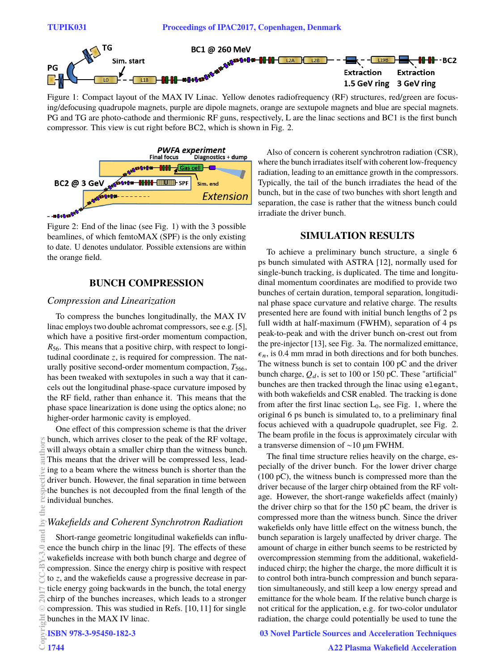

Figure 1: Compact layout of the MAX IV Linac. Yellow denotes radiofrequency (RF) structures, red/green are focusing/defocusing quadrupole magnets, purple are dipole magnets, orange are sextupole magnets and blue are special magnets. PG and TG are photo-cathode and thermionic RF guns, respectively, L are the linac sections and BC1 is the first bunch compressor. This view is cut right before BC2, which is shown in Fig. 2.



Figure 2: End of the linac (see Fig. 1) with the 3 possible beamlines, of which femtoMAX (SPF) is the only existing to date. U denotes undulator. Possible extensions are within the orange field.

## **BUNCH COMPRESSION**

#### *Compression and Linearization*

To compress the bunches longitudinally, the MAX IV linac employs two double achromat compressors, see e.g. [5], which have a positive first-order momentum compaction, *R*56. This means that a positive chirp, with respect to longitudinal coordinate *z*, is required for compression. The naturally positive second-order momentum compaction,  $T_{566}$ , has been tweaked with sextupoles in such a way that it cancels out the longitudinal phase-space curvature imposed by the RF field, rather than enhance it. This means that the phase space linearization is done using the optics alone; no higher-order harmonic cavity is employed.

One effect of this compression scheme is that the driver bunch, which arrives closer to the peak of the RF voltage, will always obtain a smaller chirp than the witness bunch. This means that the driver will be compressed less, leading to a beam where the witness bunch is shorter than the driver bunch. However, the final separation in time between the bunches is not decoupled from the final length of the individual bunches.

### *Wakefields and Coherent Synchrotron Radiation*

Short-range geometric longitudinal wakefields can influence the bunch chirp in the linac [9]. The effects of these wakefields increase with both bunch charge and degree of compression. Since the energy chirp is positive with respect to *z*, and the wakefields cause a progressive decrease in particle energy going backwards in the bunch, the total energy chirp of the bunches increases, which leads to a stronger compression. This was studied in Refs. [10, 11] for single bunches in the MAX IV linac.

**ISBN 978-3-95450-182-3**

Also of concern is coherent synchrotron radiation (CSR), where the bunch irradiates itself with coherent low-frequency radiation, leading to an emittance growth in the compressors. Typically, the tail of the bunch irradiates the head of the bunch, but in the case of two bunches with short length and separation, the case is rather that the witness bunch could irradiate the driver bunch.

### **SIMULATION RESULTS**

To achieve a preliminary bunch structure, a single 6 ps bunch simulated with ASTRA [12], normally used for single-bunch tracking, is duplicated. The time and longitudinal momentum coordinates are modified to provide two bunches of certain duration, temporal separation, longitudinal phase space curvature and relative charge. The results presented here are found with initial bunch lengths of 2 ps full width at half-maximum (FWHM), separation of 4 ps peak-to-peak and with the driver bunch on-crest out from the pre-injector [13], see Fig. 3a. The normalized emittance,  $\epsilon_n$ , is 0.4 mm mrad in both directions and for both bunches. The witness bunch is set to contain 100 pC and the driver bunch charge,  $Q_d$ , is set to 100 or 150 pC. These "artificial" bunches are then tracked through the linac using elegant, with both wakefields and CSR enabled. The tracking is done from after the first linac section  $L_0$ , see Fig. 1, where the original 6 ps bunch is simulated to, to a preliminary final focus achieved with a quadrupole quadruplet, see Fig. 2. The beam profile in the focus is approximately circular with a transverse dimension of ∼10 µm FWHM.

The final time structure relies heavily on the charge, especially of the driver bunch. For the lower driver charge (100 pC), the witness bunch is compressed more than the driver because of the larger chirp obtained from the RF voltage. However, the short-range wakefields affect (mainly) the driver chirp so that for the 150 pC beam, the driver is compressed more than the witness bunch. Since the driver wakefields only have little effect on the witness bunch, the bunch separation is largely unaffected by driver charge. The amount of charge in either bunch seems to be restricted by overcompression stemming from the additional, wakefieldinduced chirp; the higher the charge, the more difficult it is to control both intra-bunch compression and bunch separation simultaneously, and still keep a low energy spread and emittance for the whole beam. If the relative bunch charge is not critical for the application, e.g. for two-color undulator radiation, the charge could potentially be used to tune the

**03 Novel Particle Sources and Acceleration Techniques**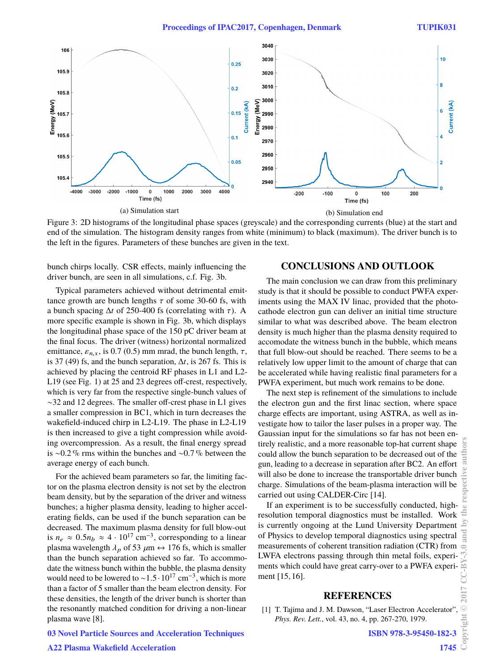

Figure 3: 2D histograms of the longitudinal phase spaces (greyscale) and the corresponding currents (blue) at the start and end of the simulation. The histogram density ranges from white (minimum) to black (maximum). The driver bunch is to the left in the figures. Parameters of these bunches are given in the text.

bunch chirps locally. CSR effects, mainly influencing the driver bunch, are seen in all simulations, c.f. Fig. 3b.

Typical parameters achieved without detrimental emittance growth are bunch lengths  $\tau$  of some 30-60 fs, with a bunch spacing  $\Delta t$  of 250-400 fs (correlating with  $\tau$ ). A more specific example is shown in Fig. 3b, which displays the longitudinal phase space of the 150 pC driver beam at the final focus. The driver (witness) horizontal normalized emittance,  $\varepsilon_{n,x}$ , is 0.7 (0.5) mm mrad, the bunch length,  $\tau$ , is 37 (49) fs, and the bunch separation, ∆*t*, is 267 fs. This is achieved by placing the centroid RF phases in L1 and L2- L19 (see Fig. 1) at 25 and 23 degrees off-crest, respectively, which is very far from the respective single-bunch values of ∼32 and 12 degrees. The smaller off-crest phase in L1 gives a smaller compression in BC1, which in turn decreases the wakefield-induced chirp in L2-L19. The phase in L2-L19 is then increased to give a tight compression while avoiding overcompression. As a result, the final energy spread is ∼0.2 % rms within the bunches and ∼0.7 % between the average energy of each bunch.

For the achieved beam parameters so far, the limiting factor on the plasma electron density is not set by the electron beam density, but by the separation of the driver and witness bunches; a higher plasma density, leading to higher accelerating fields, can be used if the bunch separation can be decreased. The maximum plasma density for full blow-out is  $n_e \approx 0.5 n_b \approx 4 \cdot 10^{17} \text{ cm}^{-3}$ , corresponding to a linear plasma wavelength  $\lambda_p$  of 53  $\mu$ m  $\leftrightarrow$  176 fs, which is smaller than the bunch separation achieved so far. To accommodate the witness bunch within the bubble, the plasma density would need to be lowered to ~1.5⋅10<sup>17</sup> cm<sup>-3</sup>, which is more than a factor of 5 smaller than the beam electron density. For these densities, the length of the driver bunch is shorter than the resonantly matched condition for driving a non-linear plasma wave [8].

#### **CONCLUSIONS AND OUTLOOK**

The main conclusion we can draw from this preliminary study is that it should be possible to conduct PWFA experiments using the MAX IV linac, provided that the photocathode electron gun can deliver an initial time structure similar to what was described above. The beam electron density is much higher than the plasma density required to accomodate the witness bunch in the bubble, which means that full blow-out should be reached. There seems to be a relatively low upper limit to the amount of charge that can be accelerated while having realistic final parameters for a PWFA experiment, but much work remains to be done.

The next step is refinement of the simulations to include the electron gun and the first linac section, where space charge effects are important, using ASTRA, as well as investigate how to tailor the laser pulses in a proper way. The Gaussian input for the simulations so far has not been entirely realistic, and a more reasonable top-hat current shape could allow the bunch separation to be decreased out of the gun, leading to a decrease in separation after BC2. An effort will also be done to increase the transportable driver bunch charge. Simulations of the beam-plasma interaction will be carried out using CALDER-Circ [14].

If an experiment is to be successfully conducted, highresolution temporal diagnostics must be installed. Work is currently ongoing at the Lund University Department of Physics to develop temporal diagnostics using spectral measurements of coherent transition radiation (CTR) from LWFA electrons passing through thin metal foils, experiments which could have great carry-over to a PWFA experiment [15, 16].

#### **REFERENCES**

[1] T. Tajima and J. M. Dawson, "Laser Electron Accelerator" *Phys. Rev. Lett.*, vol. 43, no. 4, pp. 267-270, 1979.

**ISBN 978-3-95450-182-3**

#### **03 Novel Particle Sources and Acceleration Techniques**